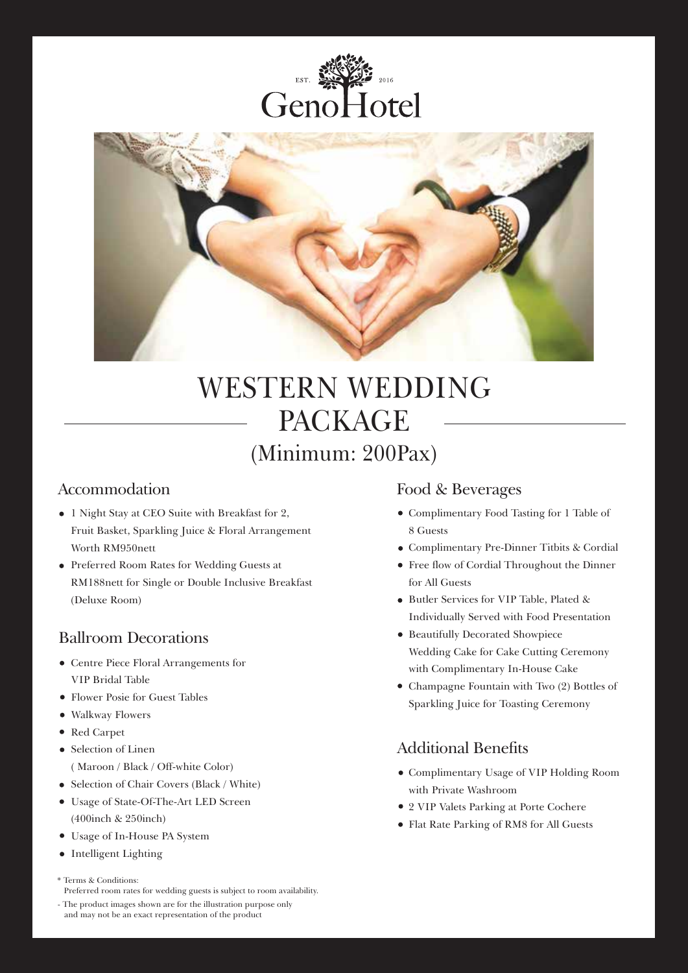



# WESTERN WEDDING PACKAGE (Minimum: 200Pax)

- 1 Night Stay at CEO Suite with Breakfast for 2, Fruit Basket, Sparkling Juice & Floral Arrangement Worth RM950nett
- Preferred Room Rates for Wedding Guests at RM188nett for Single or Double Inclusive Breakfast (Deluxe Room)

# Ballroom Decorations

- Centre Piece Floral Arrangements for VIP Bridal Table
- Flower Posie for Guest Tables
- Walkway Flowers
- Red Carpet
- Selection of Linen ( Maroon / Black / Off-white Color)
- Selection of Chair Covers (Black / White)
- Usage of State-Of-The-Art LED Screen (400inch & 250inch)
- Usage of In-House PA System
- Intelligent Lighting

Preferred room rates for wedding guests is subject to room availability.

## Accommodation Food & Beverages

- Complimentary Food Tasting for 1 Table of 8 Guests
- Complimentary Pre-Dinner Titbits & Cordial
- Free flow of Cordial Throughout the Dinner for All Guests
- Butler Services for VIP Table, Plated & Individually Served with Food Presentation
- Beautifully Decorated Showpiece Wedding Cake for Cake Cutting Ceremony with Complimentary In-House Cake
- Champagne Fountain with Two (2) Bottles of Sparkling Juice for Toasting Ceremony

# Additional Benefits

- Complimentary Usage of VIP Holding Room with Private Washroom
- 2 VIP Valets Parking at Porte Cochere
- Flat Rate Parking of RM8 for All Guests

<sup>\*</sup> Terms & Conditions:

<sup>-</sup> The product images shown are for the illustration purpose only and may not be an exact representation of the product